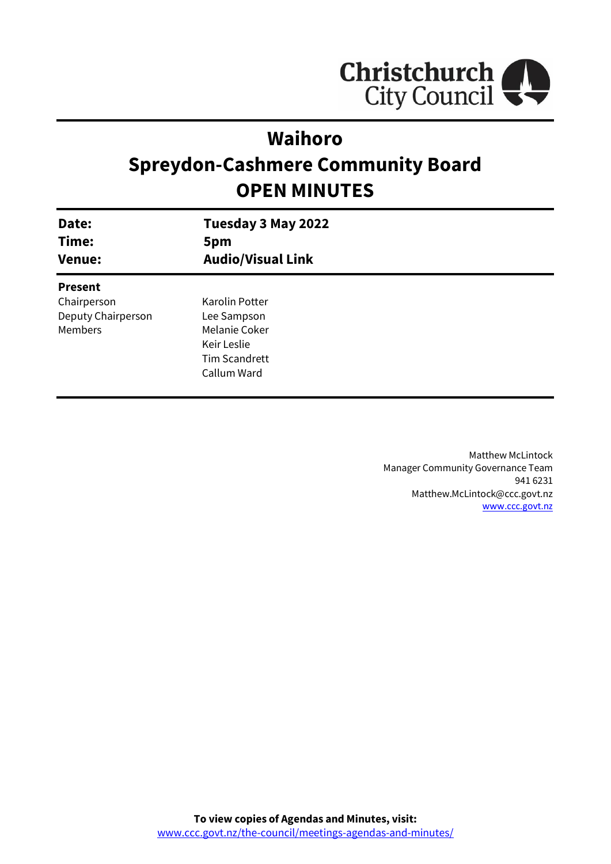

# **Waihoro**

# **Spreydon-Cashmere Community Board OPEN MINUTES**

| Date:<br>Time:<br><b>Venue:</b> | Tuesday 3 May 2022<br>5pm<br><b>Audio/Visual Link</b> |
|---------------------------------|-------------------------------------------------------|
| <b>Present</b>                  |                                                       |
| Chairperson                     | Karolin Potter                                        |
| Deputy Chairperson              | Lee Sampson                                           |
| Members                         | Melanie Coker                                         |
|                                 | Keir Leslie                                           |
|                                 | <b>Tim Scandrett</b>                                  |
|                                 | Callum Ward                                           |
|                                 |                                                       |

Matthew McLintock Manager Community Governance Team 941 6231 Matthew.McLintock@ccc.govt.nz [www.ccc.govt.nz](http://www.ccc.govt.nz/)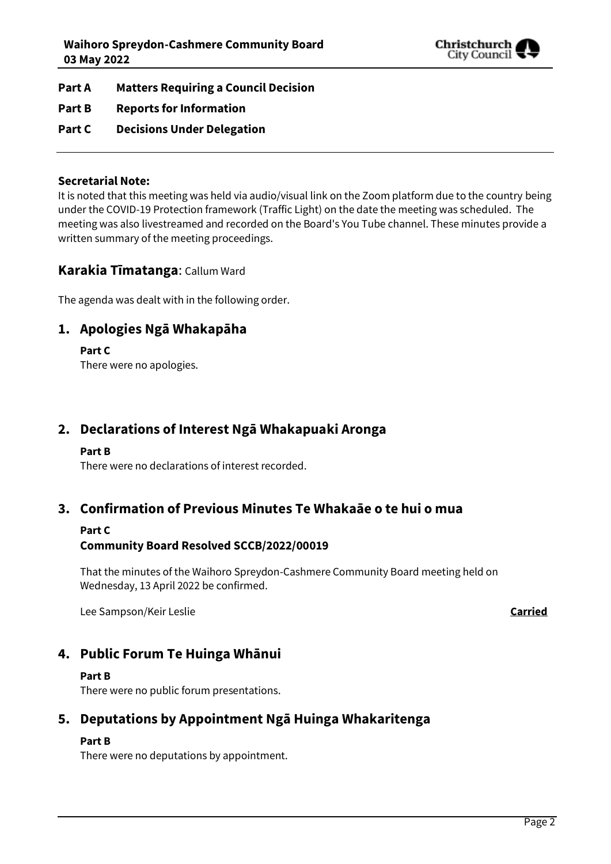

- **Part A Matters Requiring a Council Decision**
- **Part B Reports for Information**
- **Part C Decisions Under Delegation**

#### **Secretarial Note:**

It is noted that this meeting was held via audio/visual link on the Zoom platform due to the country being under the COVID-19 Protection framework (Traffic Light) on the date the meeting was scheduled. The meeting was also livestreamed and recorded on the Board's You Tube channel. These minutes provide a written summary of the meeting proceedings.

#### **Karakia Tīmatanga**: Callum Ward

The agenda was dealt with in the following order.

# **1. Apologies Ngā Whakapāha**

**Part C** 

There were no apologies.

# **2. Declarations of Interest Ngā Whakapuaki Aronga**

#### **Part B**

There were no declarations of interest recorded.

## **3. Confirmation of Previous Minutes Te Whakaāe o te hui o mua**

#### **Part C**

### **Community Board Resolved SCCB/2022/00019**

That the minutes of the Waihoro Spreydon-Cashmere Community Board meeting held on Wednesday, 13 April 2022 be confirmed.

Lee Sampson/Keir Leslie **Carried**

# **4. Public Forum Te Huinga Whānui**

#### **Part B**

There were no public forum presentations.

# **5. Deputations by Appointment Ngā Huinga Whakaritenga**

#### **Part B**

There were no deputations by appointment.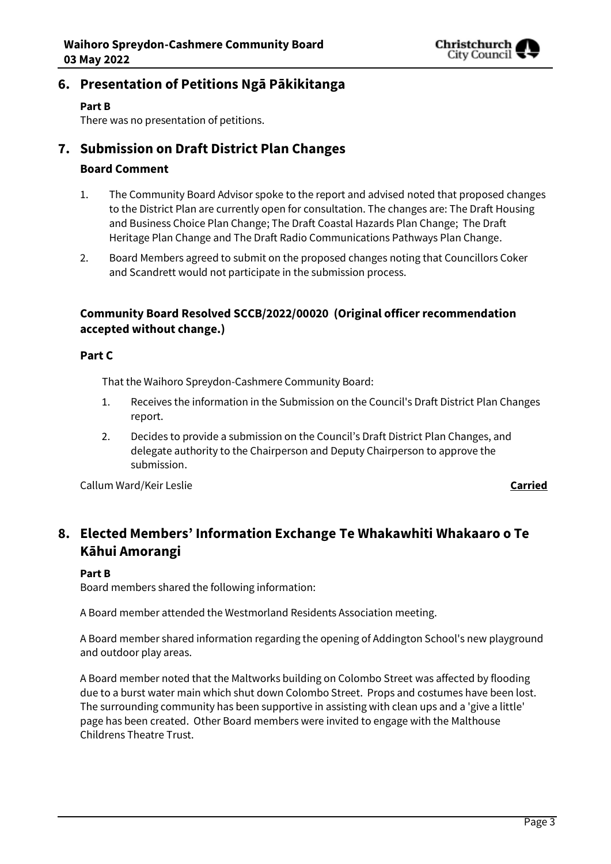

# **6. Presentation of Petitions Ngā Pākikitanga**

#### **Part B**

There was no presentation of petitions.

# **7. Submission on Draft District Plan Changes**

### **Board Comment**

- 1. The Community Board Advisor spoke to the report and advised noted that proposed changes to the District Plan are currently open for consultation. The changes are: The Draft Housing and Business Choice Plan Change; The Draft Coastal Hazards Plan Change; The Draft Heritage Plan Change and The Draft Radio Communications Pathways Plan Change.
- 2. Board Members agreed to submit on the proposed changes noting that Councillors Coker and Scandrett would not participate in the submission process.

## **Community Board Resolved SCCB/2022/00020 (Original officer recommendation accepted without change.)**

#### **Part C**

That the Waihoro Spreydon-Cashmere Community Board:

- 1. Receives the information in the Submission on the Council's Draft District Plan Changes report.
- 2. Decides to provide a submission on the Council's Draft District Plan Changes, and delegate authority to the Chairperson and Deputy Chairperson to approve the submission.

Callum Ward/Keir Leslie **Carried**

# **8. Elected Members' Information Exchange Te Whakawhiti Whakaaro o Te Kāhui Amorangi**

#### **Part B**

Board members shared the following information:

A Board member attended the Westmorland Residents Association meeting.

A Board member shared information regarding the opening of Addington School's new playground and outdoor play areas.

A Board member noted that the Maltworks building on Colombo Street was affected by flooding due to a burst water main which shut down Colombo Street. Props and costumes have been lost. The surrounding community has been supportive in assisting with clean ups and a 'give a little' page has been created. Other Board members were invited to engage with the Malthouse Childrens Theatre Trust.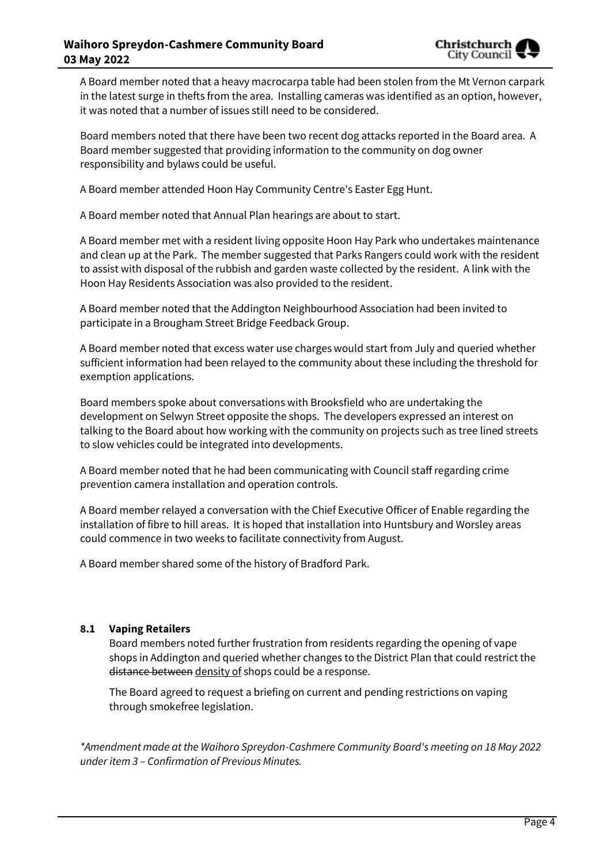

A Board member noted that a heavy macrocarpa table had been stolen from the Mt Vernon carpark in the latest surge in thefts from the area. Installing cameras was identified as an option, however, it was noted that a number of issues still need to be considered.

Board members noted that there have been two recent dog attacks reported in the Board area. A Board member suggested that providing information to the community on dog owner responsibility and bylaws could be useful.

A Board member attended Hoon Hay Community Centre's Easter Egg Hunt.

A Board member noted that Annual Plan hearings are about to start.

A Board member met with a resident living opposite Hoon Hay Park who undertakes maintenance and clean up at the Park. The member suggested that Parks Rangers could work with the resident to assist with disposal of the rubbish and garden waste collected by the resident. A link with the Hoon Hay Residents Association was also provided to the resident.

A Board member noted that the Addington Neighbourhood Association had been invited to participate in a Brougham Street Bridge Feedback Group.

A Board member noted that excess water use charges would start from July and queried whether sufficient information had been relayed to the community about these including the threshold for exemption applications.

Board members spoke about conversations with Brooksfield who are undertaking the development on Selwyn Street opposite the shops. The developers expressed an interest on talking to the Board about how working with the community on projects such as tree lined streets to slow vehicles could be integrated into developments.

A Board member noted that he had been communicating with Council staff regarding crime prevention camera installation and operation controls.

A Board member relayed a conversation with the Chief Executive Officer of Enable regarding the installation of fibre to hill areas. It is hoped that installation into Huntsbury and Worsley areas could commence in two weeks to facilitate connectivity from August.

A Board member shared some of the history of Bradford Park.

#### **8.1 Vaping Retailers**

Board members noted further frustration from residents regarding the opening of vape shops in Addington and queried whether changes to the District Plan that could restrict the distance between density of shops could be a response.

The Board agreed to request a briefing on current and pending restrictions on vaping through smokefree legislation.

*\*Amendment made at the Waihoro Spreydon-Cashmere Community Board's meeting on 18 May 2022 under item 3 – Confirmation of Previous Minutes.*